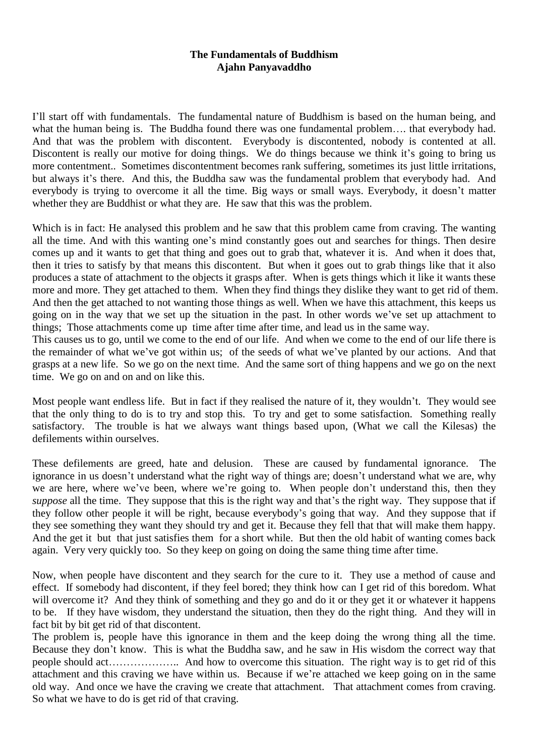## **The Fundamentals of Buddhism Ajahn Panyavaddho**

I"ll start off with fundamentals. The fundamental nature of Buddhism is based on the human being, and what the human being is. The Buddha found there was one fundamental problem.... that everybody had. And that was the problem with discontent. Everybody is discontented, nobody is contented at all. Discontent is really our motive for doing things. We do things because we think it's going to bring us more contentment.. Sometimes discontentment becomes rank suffering, sometimes its just little irritations, but always it's there. And this, the Buddha saw was the fundamental problem that everybody had. And everybody is trying to overcome it all the time. Big ways or small ways. Everybody, it doesn't matter whether they are Buddhist or what they are. He saw that this was the problem.

Which is in fact: He analysed this problem and he saw that this problem came from craving. The wanting all the time. And with this wanting one"s mind constantly goes out and searches for things. Then desire comes up and it wants to get that thing and goes out to grab that, whatever it is. And when it does that, then it tries to satisfy by that means this discontent. But when it goes out to grab things like that it also produces a state of attachment to the objects it grasps after. When is gets things which it like it wants these more and more. They get attached to them. When they find things they dislike they want to get rid of them. And then the get attached to not wanting those things as well. When we have this attachment, this keeps us going on in the way that we set up the situation in the past. In other words we"ve set up attachment to things; Those attachments come up time after time after time, and lead us in the same way.

This causes us to go, until we come to the end of our life. And when we come to the end of our life there is the remainder of what we"ve got within us; of the seeds of what we"ve planted by our actions. And that grasps at a new life. So we go on the next time. And the same sort of thing happens and we go on the next time. We go on and on and on like this.

Most people want endless life. But in fact if they realised the nature of it, they wouldn't. They would see that the only thing to do is to try and stop this. To try and get to some satisfaction. Something really satisfactory. The trouble is hat we always want things based upon, (What we call the Kilesas) the defilements within ourselves.

These defilements are greed, hate and delusion. These are caused by fundamental ignorance. The ignorance in us doesn't understand what the right way of things are; doesn't understand what we are, why we are here, where we've been, where we're going to. When people don't understand this, then they *suppose* all the time. They suppose that this is the right way and that's the right way. They suppose that if they follow other people it will be right, because everybody"s going that way. And they suppose that if they see something they want they should try and get it. Because they fell that that will make them happy. And the get it but that just satisfies them for a short while. But then the old habit of wanting comes back again. Very very quickly too. So they keep on going on doing the same thing time after time.

Now, when people have discontent and they search for the cure to it. They use a method of cause and effect. If somebody had discontent, if they feel bored; they think how can I get rid of this boredom. What will overcome it? And they think of something and they go and do it or they get it or whatever it happens to be. If they have wisdom, they understand the situation, then they do the right thing. And they will in fact bit by bit get rid of that discontent.

The problem is, people have this ignorance in them and the keep doing the wrong thing all the time. Because they don"t know. This is what the Buddha saw, and he saw in His wisdom the correct way that people should act……………….. And how to overcome this situation. The right way is to get rid of this attachment and this craving we have within us. Because if we"re attached we keep going on in the same old way. And once we have the craving we create that attachment. That attachment comes from craving. So what we have to do is get rid of that craving.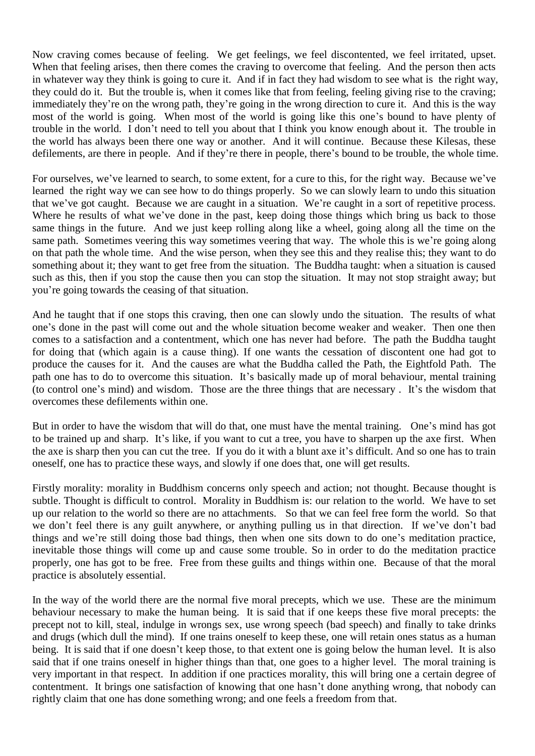Now craving comes because of feeling. We get feelings, we feel discontented, we feel irritated, upset. When that feeling arises, then there comes the craving to overcome that feeling. And the person then acts in whatever way they think is going to cure it. And if in fact they had wisdom to see what is the right way, they could do it. But the trouble is, when it comes like that from feeling, feeling giving rise to the craving; immediately they're on the wrong path, they're going in the wrong direction to cure it. And this is the way most of the world is going. When most of the world is going like this one"s bound to have plenty of trouble in the world. I don"t need to tell you about that I think you know enough about it. The trouble in the world has always been there one way or another. And it will continue. Because these Kilesas, these defilements, are there in people. And if they"re there in people, there"s bound to be trouble, the whole time.

For ourselves, we've learned to search, to some extent, for a cure to this, for the right way. Because we've learned the right way we can see how to do things properly. So we can slowly learn to undo this situation that we"ve got caught. Because we are caught in a situation. We"re caught in a sort of repetitive process. Where he results of what we've done in the past, keep doing those things which bring us back to those same things in the future. And we just keep rolling along like a wheel, going along all the time on the same path. Sometimes veering this way sometimes veering that way. The whole this is we're going along on that path the whole time. And the wise person, when they see this and they realise this; they want to do something about it; they want to get free from the situation. The Buddha taught: when a situation is caused such as this, then if you stop the cause then you can stop the situation. It may not stop straight away; but you"re going towards the ceasing of that situation.

And he taught that if one stops this craving, then one can slowly undo the situation. The results of what one"s done in the past will come out and the whole situation become weaker and weaker. Then one then comes to a satisfaction and a contentment, which one has never had before. The path the Buddha taught for doing that (which again is a cause thing). If one wants the cessation of discontent one had got to produce the causes for it. And the causes are what the Buddha called the Path, the Eightfold Path. The path one has to do to overcome this situation. It's basically made up of moral behaviour, mental training (to control one"s mind) and wisdom. Those are the three things that are necessary . It"s the wisdom that overcomes these defilements within one.

But in order to have the wisdom that will do that, one must have the mental training. One"s mind has got to be trained up and sharp. It"s like, if you want to cut a tree, you have to sharpen up the axe first. When the axe is sharp then you can cut the tree. If you do it with a blunt axe it's difficult. And so one has to train oneself, one has to practice these ways, and slowly if one does that, one will get results.

Firstly morality: morality in Buddhism concerns only speech and action; not thought. Because thought is subtle. Thought is difficult to control. Morality in Buddhism is: our relation to the world. We have to set up our relation to the world so there are no attachments. So that we can feel free form the world. So that we don't feel there is any guilt anywhere, or anything pulling us in that direction. If we've don't bad things and we"re still doing those bad things, then when one sits down to do one"s meditation practice, inevitable those things will come up and cause some trouble. So in order to do the meditation practice properly, one has got to be free. Free from these guilts and things within one. Because of that the moral practice is absolutely essential.

In the way of the world there are the normal five moral precepts, which we use. These are the minimum behaviour necessary to make the human being. It is said that if one keeps these five moral precepts: the precept not to kill, steal, indulge in wrongs sex, use wrong speech (bad speech) and finally to take drinks and drugs (which dull the mind). If one trains oneself to keep these, one will retain ones status as a human being. It is said that if one doesn"t keep those, to that extent one is going below the human level. It is also said that if one trains oneself in higher things than that, one goes to a higher level. The moral training is very important in that respect. In addition if one practices morality, this will bring one a certain degree of contentment. It brings one satisfaction of knowing that one hasn"t done anything wrong, that nobody can rightly claim that one has done something wrong; and one feels a freedom from that.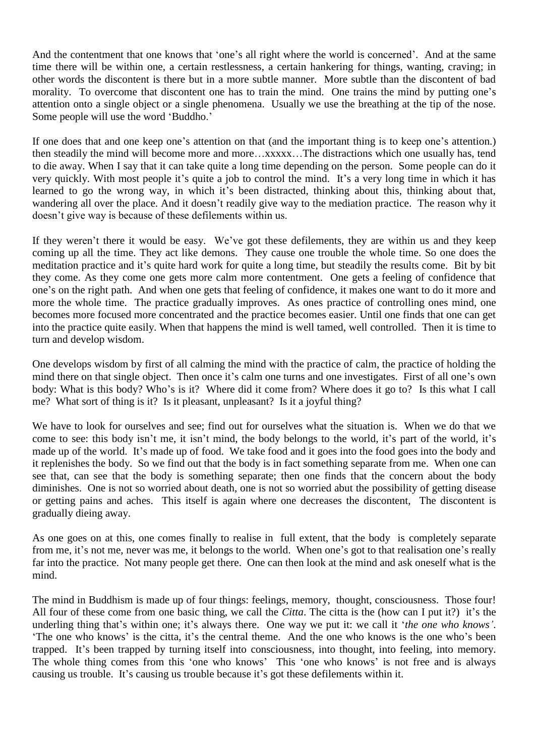And the contentment that one knows that 'one's all right where the world is concerned'. And at the same time there will be within one, a certain restlessness, a certain hankering for things, wanting, craving; in other words the discontent is there but in a more subtle manner. More subtle than the discontent of bad morality. To overcome that discontent one has to train the mind. One trains the mind by putting one's attention onto a single object or a single phenomena. Usually we use the breathing at the tip of the nose. Some people will use the word "Buddho."

If one does that and one keep one"s attention on that (and the important thing is to keep one"s attention.) then steadily the mind will become more and more…xxxxx…The distractions which one usually has, tend to die away. When I say that it can take quite a long time depending on the person. Some people can do it very quickly. With most people it's quite a job to control the mind. It's a very long time in which it has learned to go the wrong way, in which it's been distracted, thinking about this, thinking about that, wandering all over the place. And it doesn"t readily give way to the mediation practice. The reason why it doesn"t give way is because of these defilements within us.

If they weren't there it would be easy. We've got these defilements, they are within us and they keep coming up all the time. They act like demons. They cause one trouble the whole time. So one does the meditation practice and it"s quite hard work for quite a long time, but steadily the results come. Bit by bit they come. As they come one gets more calm more contentment. One gets a feeling of confidence that one"s on the right path. And when one gets that feeling of confidence, it makes one want to do it more and more the whole time. The practice gradually improves. As ones practice of controlling ones mind, one becomes more focused more concentrated and the practice becomes easier. Until one finds that one can get into the practice quite easily. When that happens the mind is well tamed, well controlled. Then it is time to turn and develop wisdom.

One develops wisdom by first of all calming the mind with the practice of calm, the practice of holding the mind there on that single object. Then once it's calm one turns and one investigates. First of all one's own body: What is this body? Who"s is it? Where did it come from? Where does it go to? Is this what I call me? What sort of thing is it? Is it pleasant, unpleasant? Is it a joyful thing?

We have to look for ourselves and see; find out for ourselves what the situation is. When we do that we come to see: this body isn't me, it isn't mind, the body belongs to the world, it's part of the world, it's made up of the world. It's made up of food. We take food and it goes into the food goes into the body and it replenishes the body. So we find out that the body is in fact something separate from me. When one can see that, can see that the body is something separate; then one finds that the concern about the body diminishes. One is not so worried about death, one is not so worried abut the possibility of getting disease or getting pains and aches. This itself is again where one decreases the discontent, The discontent is gradually dieing away.

As one goes on at this, one comes finally to realise in full extent, that the body is completely separate from me, it's not me, never was me, it belongs to the world. When one's got to that realisation one's really far into the practice. Not many people get there. One can then look at the mind and ask oneself what is the mind.

The mind in Buddhism is made up of four things: feelings, memory, thought, consciousness. Those four! All four of these come from one basic thing, we call the *Citta*. The citta is the (how can I put it?) it's the underling thing that's within one; it's always there. One way we put it: we call it 'the one who knows'. "The one who knows" is the citta, it's the central theme. And the one who knows is the one who's been trapped. It"s been trapped by turning itself into consciousness, into thought, into feeling, into memory. The whole thing comes from this 'one who knows' This 'one who knows' is not free and is always causing us trouble. It's causing us trouble because it's got these defilements within it.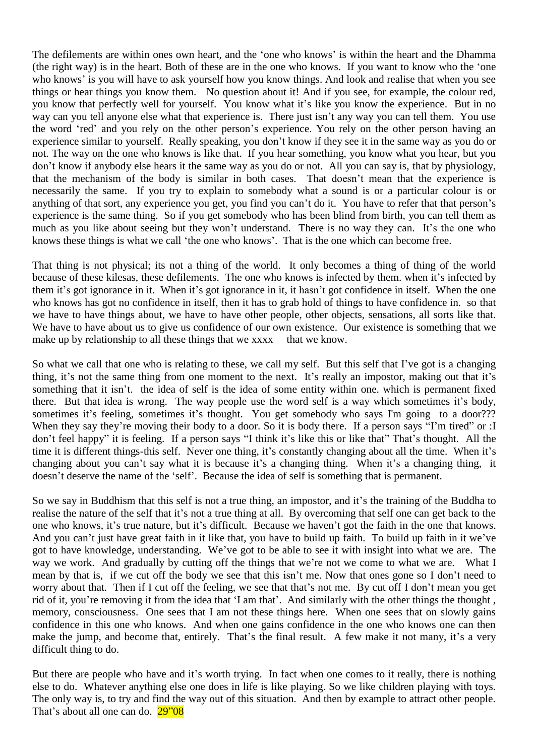The defilements are within ones own heart, and the 'one who knows' is within the heart and the Dhamma (the right way) is in the heart. Both of these are in the one who knows. If you want to know who the "one who knows' is you will have to ask yourself how you know things. And look and realise that when you see things or hear things you know them. No question about it! And if you see, for example, the colour red, you know that perfectly well for yourself. You know what it's like you know the experience. But in no way can you tell anyone else what that experience is. There just isn't any way you can tell them. You use the word "red" and you rely on the other person"s experience. You rely on the other person having an experience similar to yourself. Really speaking, you don"t know if they see it in the same way as you do or not. The way on the one who knows is like that. If you hear something, you know what you hear, but you don"t know if anybody else hears it the same way as you do or not. All you can say is, that by physiology, that the mechanism of the body is similar in both cases. That doesn"t mean that the experience is necessarily the same. If you try to explain to somebody what a sound is or a particular colour is or anything of that sort, any experience you get, you find you can't do it. You have to refer that that person's experience is the same thing. So if you get somebody who has been blind from birth, you can tell them as much as you like about seeing but they won't understand. There is no way they can. It's the one who knows these things is what we call "the one who knows". That is the one which can become free.

That thing is not physical; its not a thing of the world. It only becomes a thing of thing of the world because of these kilesas, these defilements. The one who knows is infected by them. when it's infected by them it's got ignorance in it. When it's got ignorance in it, it hasn't got confidence in itself. When the one who knows has got no confidence in itself, then it has to grab hold of things to have confidence in. so that we have to have things about, we have to have other people, other objects, sensations, all sorts like that. We have to have about us to give us confidence of our own existence. Our existence is something that we make up by relationship to all these things that we xxxx that we know.

So what we call that one who is relating to these, we call my self. But this self that I"ve got is a changing thing, it's not the same thing from one moment to the next. It's really an impostor, making out that it's something that it isn't. the idea of self is the idea of some entity within one. which is permanent fixed there. But that idea is wrong. The way people use the word self is a way which sometimes it's body, sometimes it's feeling, sometimes it's thought. You get somebody who says I'm going to a door??? When they say they're moving their body to a door. So it is body there. If a person says "I'm tired" or :I don't feel happy" it is feeling. If a person says "I think it's like this or like that" That's thought. All the time it is different things-this self. Never one thing, it's constantly changing about all the time. When it's changing about you can't say what it is because it's a changing thing. When it's a changing thing, it doesn"t deserve the name of the "self". Because the idea of self is something that is permanent.

So we say in Buddhism that this self is not a true thing, an impostor, and it's the training of the Buddha to realise the nature of the self that it's not a true thing at all. By overcoming that self one can get back to the one who knows, it's true nature, but it's difficult. Because we haven't got the faith in the one that knows. And you can't just have great faith in it like that, you have to build up faith. To build up faith in it we've got to have knowledge, understanding. We"ve got to be able to see it with insight into what we are. The way we work. And gradually by cutting off the things that we're not we come to what we are. What I mean by that is, if we cut off the body we see that this isn"t me. Now that ones gone so I don"t need to worry about that. Then if I cut off the feeling, we see that that's not me. By cut off I don't mean you get rid of it, you're removing it from the idea that 'I am that'. And similarly with the other things the thought, memory, consciousness. One sees that I am not these things here. When one sees that on slowly gains confidence in this one who knows. And when one gains confidence in the one who knows one can then make the jump, and become that, entirely. That's the final result. A few make it not many, it's a very difficult thing to do.

But there are people who have and it's worth trying. In fact when one comes to it really, there is nothing else to do. Whatever anything else one does in life is like playing. So we like children playing with toys. The only way is, to try and find the way out of this situation. And then by example to attract other people. That's about all one can do. 29"08"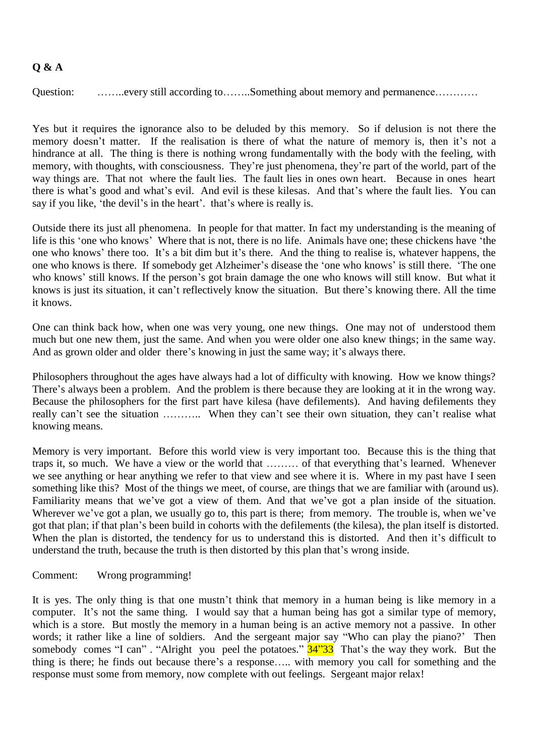## **Q & A**

Question: ……..every still according to……..Something about memory and permanence…………

Yes but it requires the ignorance also to be deluded by this memory. So if delusion is not there the memory doesn't matter. If the realisation is there of what the nature of memory is, then it's not a hindrance at all. The thing is there is nothing wrong fundamentally with the body with the feeling, with memory, with thoughts, with consciousness. They"re just phenomena, they"re part of the world, part of the way things are. That not where the fault lies. The fault lies in ones own heart. Because in ones heart there is what's good and what's evil. And evil is these kilesas. And that's where the fault lies. You can say if you like, 'the devil's in the heart'. that's where is really is.

Outside there its just all phenomena. In people for that matter. In fact my understanding is the meaning of life is this "one who knows" Where that is not, there is no life. Animals have one; these chickens have "the one who knows" there too. It"s a bit dim but it"s there. And the thing to realise is, whatever happens, the one who knows is there. If somebody get Alzheimer"s disease the "one who knows" is still there. "The one who knows' still knows. If the person's got brain damage the one who knows will still know. But what it knows is just its situation, it can"t reflectively know the situation. But there"s knowing there. All the time it knows.

One can think back how, when one was very young, one new things. One may not of understood them much but one new them, just the same. And when you were older one also knew things; in the same way. And as grown older and older there's knowing in just the same way; it's always there.

Philosophers throughout the ages have always had a lot of difficulty with knowing. How we know things? There's always been a problem. And the problem is there because they are looking at it in the wrong way. Because the philosophers for the first part have kilesa (have defilements). And having defilements they really can't see the situation ……….. When they can't see their own situation, they can't realise what knowing means.

Memory is very important. Before this world view is very important too. Because this is the thing that traps it, so much. We have a view or the world that ……… of that everything that"s learned. Whenever we see anything or hear anything we refer to that view and see where it is. Where in my past have I seen something like this? Most of the things we meet, of course, are things that we are familiar with (around us). Familiarity means that we've got a view of them. And that we've got a plan inside of the situation. Wherever we've got a plan, we usually go to, this part is there; from memory. The trouble is, when we've got that plan; if that plan"s been build in cohorts with the defilements (the kilesa), the plan itself is distorted. When the plan is distorted, the tendency for us to understand this is distorted. And then it's difficult to understand the truth, because the truth is then distorted by this plan that's wrong inside.

## Comment: Wrong programming!

It is yes. The only thing is that one mustn't think that memory in a human being is like memory in a computer. It's not the same thing. I would say that a human being has got a similar type of memory, which is a store. But mostly the memory in a human being is an active memory not a passive. In other words; it rather like a line of soldiers. And the sergeant major say "Who can play the piano?' Then somebody comes "I can" . "Alright you peel the potatoes."  $34"33$  That's the way they work. But the thing is there; he finds out because there"s a response….. with memory you call for something and the response must some from memory, now complete with out feelings. Sergeant major relax!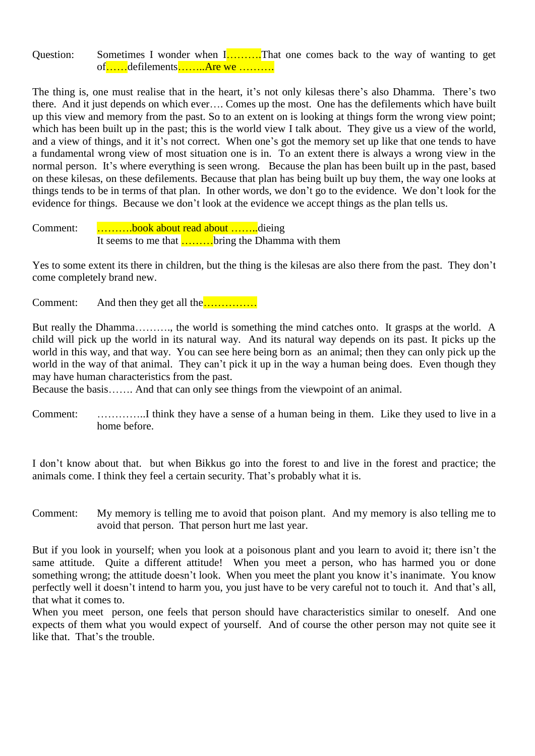Question: Sometimes I wonder when  $\overline{1, \ldots, 1}$ . That one comes back to the way of wanting to get of……defilements……..Are we ……….

The thing is, one must realise that in the heart, it's not only kilesas there's also Dhamma. There's two there. And it just depends on which ever…. Comes up the most. One has the defilements which have built up this view and memory from the past. So to an extent on is looking at things form the wrong view point; which has been built up in the past; this is the world view I talk about. They give us a view of the world, and a view of things, and it it's not correct. When one's got the memory set up like that one tends to have a fundamental wrong view of most situation one is in. To an extent there is always a wrong view in the normal person. It's where everything is seen wrong. Because the plan has been built up in the past, based on these kilesas, on these defilements. Because that plan has being built up buy them, the way one looks at things tends to be in terms of that plan. In other words, we don"t go to the evidence. We don"t look for the evidence for things. Because we don"t look at the evidence we accept things as the plan tells us.

Comment: ……….book about read about ……..dieing It seems to me that ………bring the Dhamma with them

Yes to some extent its there in children, but the thing is the kilesas are also there from the past. They don"t come completely brand new.

Comment: And then they get all the……………

But really the Dhamma………., the world is something the mind catches onto. It grasps at the world. A child will pick up the world in its natural way. And its natural way depends on its past. It picks up the world in this way, and that way. You can see here being born as an animal; then they can only pick up the world in the way of that animal. They can't pick it up in the way a human being does. Even though they may have human characteristics from the past.

Because the basis……. And that can only see things from the viewpoint of an animal.

Comment: …………..I think they have a sense of a human being in them. Like they used to live in a home before.

I don"t know about that. but when Bikkus go into the forest to and live in the forest and practice; the animals come. I think they feel a certain security. That's probably what it is.

Comment: My memory is telling me to avoid that poison plant. And my memory is also telling me to avoid that person. That person hurt me last year.

But if you look in yourself; when you look at a poisonous plant and you learn to avoid it; there isn't the same attitude. Quite a different attitude! When you meet a person, who has harmed you or done something wrong; the attitude doesn't look. When you meet the plant you know it's inanimate. You know perfectly well it doesn't intend to harm you, you just have to be very careful not to touch it. And that's all, that what it comes to.

When you meet person, one feels that person should have characteristics similar to oneself. And one expects of them what you would expect of yourself. And of course the other person may not quite see it like that. That's the trouble.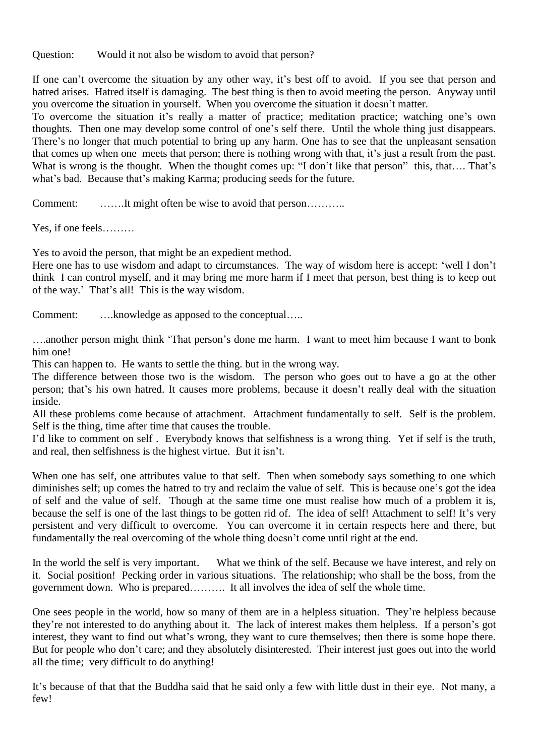Question: Would it not also be wisdom to avoid that person?

If one can't overcome the situation by any other way, it's best off to avoid. If you see that person and hatred arises. Hatred itself is damaging. The best thing is then to avoid meeting the person. Anyway until you overcome the situation in yourself. When you overcome the situation it doesn"t matter.

To overcome the situation it's really a matter of practice; meditation practice; watching one's own thoughts. Then one may develop some control of one"s self there. Until the whole thing just disappears. There's no longer that much potential to bring up any harm. One has to see that the unpleasant sensation that comes up when one meets that person; there is nothing wrong with that, it's just a result from the past. What is wrong is the thought. When the thought comes up: "I don't like that person" this, that.... That's what's bad. Because that's making Karma; producing seeds for the future.

Comment: ............It might often be wise to avoid that person................

Yes, if one feels………

Yes to avoid the person, that might be an expedient method.

Here one has to use wisdom and adapt to circumstances. The way of wisdom here is accept: 'well I don't think I can control myself, and it may bring me more harm if I meet that person, best thing is to keep out of the way." That"s all! This is the way wisdom.

Comment: ….knowledge as apposed to the conceptual…..

….another person might think "That person"s done me harm. I want to meet him because I want to bonk him one!

This can happen to. He wants to settle the thing. but in the wrong way.

The difference between those two is the wisdom. The person who goes out to have a go at the other person; that's his own hatred. It causes more problems, because it doesn't really deal with the situation inside.

All these problems come because of attachment. Attachment fundamentally to self. Self is the problem. Self is the thing, time after time that causes the trouble.

I"d like to comment on self . Everybody knows that selfishness is a wrong thing. Yet if self is the truth, and real, then selfishness is the highest virtue. But it isn"t.

When one has self, one attributes value to that self. Then when somebody says something to one which diminishes self; up comes the hatred to try and reclaim the value of self. This is because one's got the idea of self and the value of self. Though at the same time one must realise how much of a problem it is, because the self is one of the last things to be gotten rid of. The idea of self! Attachment to self! It's very persistent and very difficult to overcome. You can overcome it in certain respects here and there, but fundamentally the real overcoming of the whole thing doesn't come until right at the end.

In the world the self is very important. What we think of the self. Because we have interest, and rely on it. Social position! Pecking order in various situations. The relationship; who shall be the boss, from the government down. Who is prepared………. It all involves the idea of self the whole time.

One sees people in the world, how so many of them are in a helpless situation. They"re helpless because they"re not interested to do anything about it. The lack of interest makes them helpless. If a person"s got interest, they want to find out what's wrong, they want to cure themselves; then there is some hope there. But for people who don"t care; and they absolutely disinterested. Their interest just goes out into the world all the time; very difficult to do anything!

It's because of that that the Buddha said that he said only a few with little dust in their eye. Not many, a few!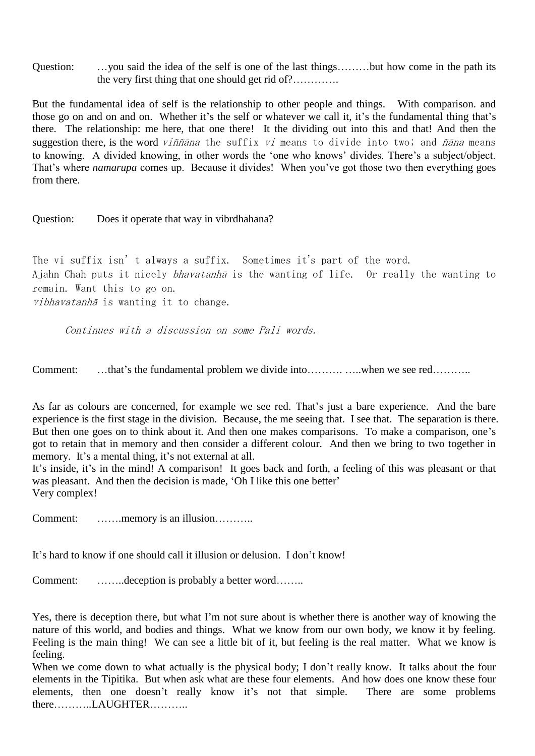Question: …you said the idea of the self is one of the last things………but how come in the path its the very first thing that one should get rid of?………….

But the fundamental idea of self is the relationship to other people and things. With comparison. and those go on and on and on. Whether it's the self or whatever we call it, it's the fundamental thing that's there. The relationship: me here, that one there! It the dividing out into this and that! And then the suggestion there, is the word *viññāna* the suffix *vi* means to divide into two; and *ñāna* means to knowing. A divided knowing, in other words the "one who knows" divides. There"s a subject/object. That's where *namarupa* comes up. Because it divides! When you've got those two then everything goes from there.

Question: Does it operate that way in vibrdhahana?

The vi suffix isn't always a suffix. Sometimes it's part of the word. Ajahn Chah puts it nicely bhavatanh<sup>ā</sup> is the wanting of life. Or really the wanting to remain. Want this to go on. vibhavatanhā is wanting it to change.

Continues with a discussion on some Pali words.

Comment: …that"s the fundamental problem we divide into………. …..when we see red………..

As far as colours are concerned, for example we see red. That's just a bare experience. And the bare experience is the first stage in the division. Because, the me seeing that. I see that. The separation is there. But then one goes on to think about it. And then one makes comparisons. To make a comparison, one's got to retain that in memory and then consider a different colour. And then we bring to two together in memory. It's a mental thing, it's not external at all.

It's inside, it's in the mind! A comparison! It goes back and forth, a feeling of this was pleasant or that was pleasant. And then the decision is made, 'Oh I like this one better' Very complex!

Comment: ……..memory is an illusion………..

It's hard to know if one should call it illusion or delusion. I don't know!

Comment: ……..deception is probably a better word……..

Yes, there is deception there, but what I"m not sure about is whether there is another way of knowing the nature of this world, and bodies and things. What we know from our own body, we know it by feeling. Feeling is the main thing! We can see a little bit of it, but feeling is the real matter. What we know is feeling.

When we come down to what actually is the physical body; I don't really know. It talks about the four elements in the Tipitika. But when ask what are these four elements. And how does one know these four elements, then one doesn't really know it's not that simple. There are some problems there………..LAUGHTER………..